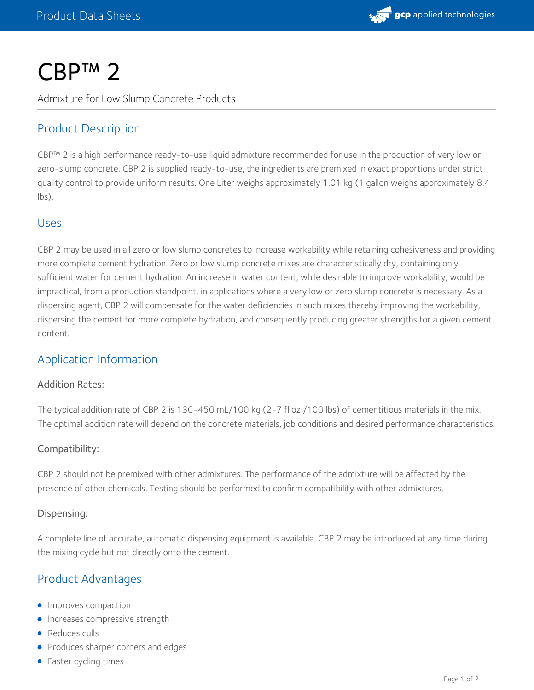

# CBP™ 2

Admixture for Low Slump Concrete Products

# Product Description

CBP™ 2 is a high performance ready-to-use liquid admixture recommended for use in the production of very low or zero-slump concrete. CBP 2 is supplied ready-to-use, the ingredients are premixed in exact proportions under strict quality control to provide uniform results. One Liter weighs approximately 1.01 kg (1 gallon weighs approximately 8.4 lbs).

## Uses

CBP 2 may be used in all zero or low slump concretes to increase workability while retaining cohesiveness and providing more complete cement hydration. Zero or low slump concrete mixes are characteristically dry, containing only sufficient water for cement hydration. An increase in water content, while desirable to improve workability, would be impractical, from a production standpoint, in applications where a very low or zero slump concrete is necessary. As a dispersing agent, CBP 2 will compensate for the water deficiencies in such mixes thereby improving the workability, dispersing the cement for more complete hydration, and consequently producing greater strengths for a given cement content.

## Application Information

#### Addition Rates:

The typical addition rate of CBP 2 is 130-450 mL/100 kg (2-7 fl oz /100 lbs) of cementitious materials in the mix. The optimal addition rate will depend on the concrete materials, job conditions and desired performance characteristics.

#### Compatibility:

CBP 2 should not be premixed with other admixtures. The performance of the admixture will be affected by the presence of other chemicals. Testing should be performed to confirm compatibility with other admixtures.

#### Dispensing:

A complete line of accurate, automatic dispensing equipment is available. CBP 2 may be introduced at any time during the mixing cycle but not directly onto the cement.

# Product Advantages

- **Improves compaction**
- **Increases compressive strength**
- Reduces culls
- Produces sharper corners and edges
- Faster cycling times